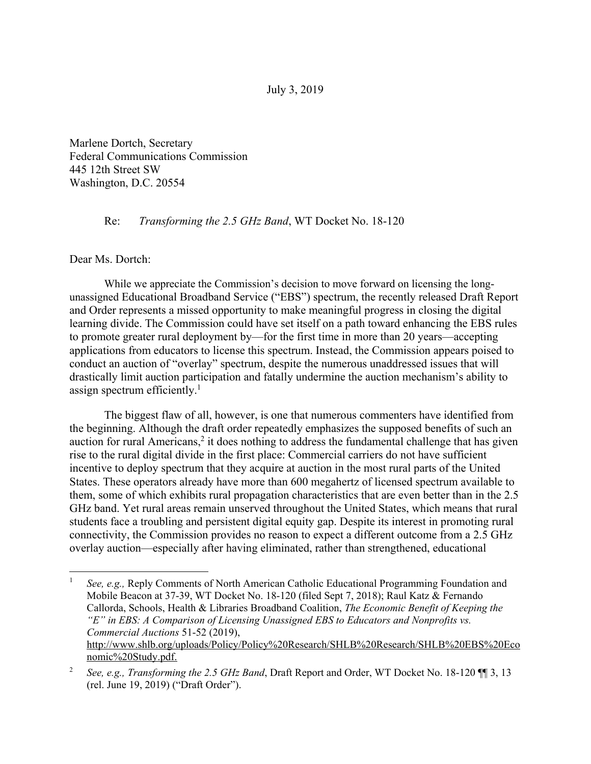July 3, 2019

Marlene Dortch, Secretary Federal Communications Commission 445 12th Street SW Washington, D.C. 20554

Re: *Transforming the 2.5 GHz Band*, WT Docket No. 18-120

## Dear Ms. Dortch:

 $\overline{a}$ 

 While we appreciate the Commission's decision to move forward on licensing the longunassigned Educational Broadband Service ("EBS") spectrum, the recently released Draft Report and Order represents a missed opportunity to make meaningful progress in closing the digital learning divide. The Commission could have set itself on a path toward enhancing the EBS rules to promote greater rural deployment by—for the first time in more than 20 years—accepting applications from educators to license this spectrum. Instead, the Commission appears poised to conduct an auction of "overlay" spectrum, despite the numerous unaddressed issues that will drastically limit auction participation and fatally undermine the auction mechanism's ability to assign spectrum efficiently. $<sup>1</sup>$ </sup>

The biggest flaw of all, however, is one that numerous commenters have identified from the beginning. Although the draft order repeatedly emphasizes the supposed benefits of such an auction for rural Americans, $2$  it does nothing to address the fundamental challenge that has given rise to the rural digital divide in the first place: Commercial carriers do not have sufficient incentive to deploy spectrum that they acquire at auction in the most rural parts of the United States. These operators already have more than 600 megahertz of licensed spectrum available to them, some of which exhibits rural propagation characteristics that are even better than in the 2.5 GHz band. Yet rural areas remain unserved throughout the United States, which means that rural students face a troubling and persistent digital equity gap. Despite its interest in promoting rural connectivity, the Commission provides no reason to expect a different outcome from a 2.5 GHz overlay auction—especially after having eliminated, rather than strengthened, educational

<sup>1</sup> *See, e.g.,* Reply Comments of North American Catholic Educational Programming Foundation and Mobile Beacon at 37-39, WT Docket No. 18-120 (filed Sept 7, 2018); Raul Katz & Fernando Callorda, Schools, Health & Libraries Broadband Coalition, *The Economic Benefit of Keeping the "E" in EBS: A Comparison of Licensing Unassigned EBS to Educators and Nonprofits vs. Commercial Auctions* 51-52 (2019), http://www.shlb.org/uploads/Policy/Policy%20Research/SHLB%20Research/SHLB%20EBS%20Eco nomic%20Study.pdf.

<sup>2</sup> *See, e.g., Transforming the 2.5 GHz Band*, Draft Report and Order, WT Docket No. 18-120 ¶¶ 3, 13 (rel. June 19, 2019) ("Draft Order").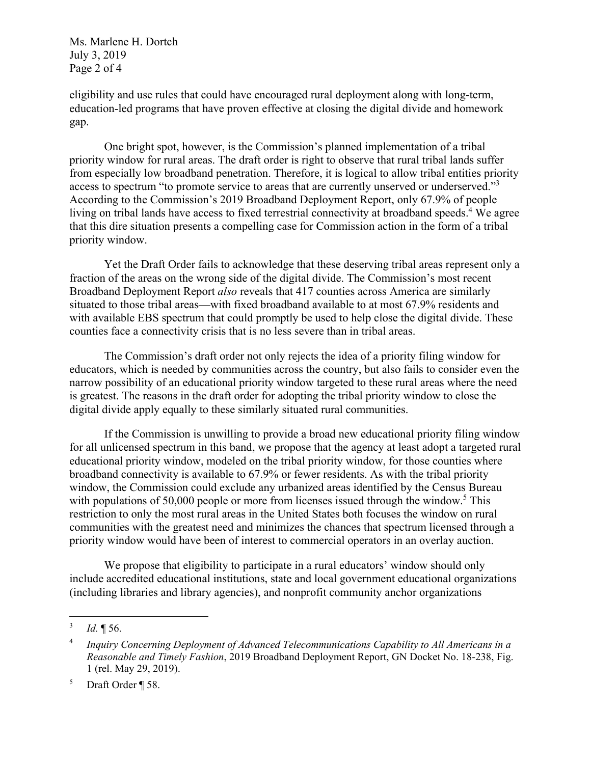Ms. Marlene H. Dortch July 3, 2019 Page 2 of 4

eligibility and use rules that could have encouraged rural deployment along with long-term, education-led programs that have proven effective at closing the digital divide and homework gap.

One bright spot, however, is the Commission's planned implementation of a tribal priority window for rural areas. The draft order is right to observe that rural tribal lands suffer from especially low broadband penetration. Therefore, it is logical to allow tribal entities priority access to spectrum "to promote service to areas that are currently unserved or underserved."<sup>3</sup> According to the Commission's 2019 Broadband Deployment Report, only 67.9% of people living on tribal lands have access to fixed terrestrial connectivity at broadband speeds.<sup>4</sup> We agree that this dire situation presents a compelling case for Commission action in the form of a tribal priority window.

Yet the Draft Order fails to acknowledge that these deserving tribal areas represent only a fraction of the areas on the wrong side of the digital divide. The Commission's most recent Broadband Deployment Report *also* reveals that 417 counties across America are similarly situated to those tribal areas—with fixed broadband available to at most 67.9% residents and with available EBS spectrum that could promptly be used to help close the digital divide. These counties face a connectivity crisis that is no less severe than in tribal areas.

The Commission's draft order not only rejects the idea of a priority filing window for educators, which is needed by communities across the country, but also fails to consider even the narrow possibility of an educational priority window targeted to these rural areas where the need is greatest. The reasons in the draft order for adopting the tribal priority window to close the digital divide apply equally to these similarly situated rural communities.

If the Commission is unwilling to provide a broad new educational priority filing window for all unlicensed spectrum in this band, we propose that the agency at least adopt a targeted rural educational priority window, modeled on the tribal priority window, for those counties where broadband connectivity is available to 67.9% or fewer residents. As with the tribal priority window, the Commission could exclude any urbanized areas identified by the Census Bureau with populations of 50,000 people or more from licenses issued through the window.<sup>5</sup> This restriction to only the most rural areas in the United States both focuses the window on rural communities with the greatest need and minimizes the chances that spectrum licensed through a priority window would have been of interest to commercial operators in an overlay auction.

We propose that eligibility to participate in a rural educators' window should only include accredited educational institutions, state and local government educational organizations (including libraries and library agencies), and nonprofit community anchor organizations

 $\frac{1}{3}$ *Id.* ¶ 56.

<sup>4</sup> *Inquiry Concerning Deployment of Advanced Telecommunications Capability to All Americans in a Reasonable and Timely Fashion*, 2019 Broadband Deployment Report, GN Docket No. 18-238, Fig. 1 (rel. May 29, 2019).

<sup>5</sup> Draft Order ¶ 58.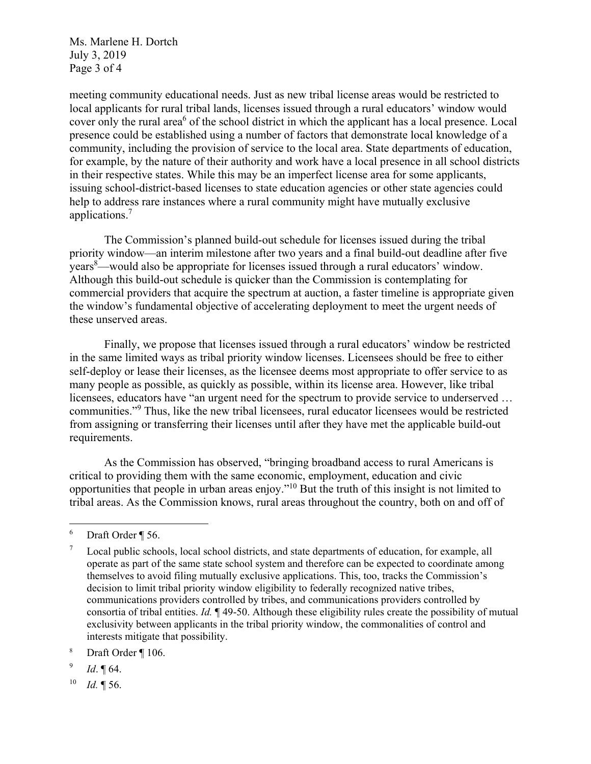Ms. Marlene H. Dortch July 3, 2019 Page 3 of 4

meeting community educational needs. Just as new tribal license areas would be restricted to local applicants for rural tribal lands, licenses issued through a rural educators' window would cover only the rural area<sup>6</sup> of the school district in which the applicant has a local presence. Local presence could be established using a number of factors that demonstrate local knowledge of a community, including the provision of service to the local area. State departments of education, for example, by the nature of their authority and work have a local presence in all school districts in their respective states. While this may be an imperfect license area for some applicants, issuing school-district-based licenses to state education agencies or other state agencies could help to address rare instances where a rural community might have mutually exclusive applications.<sup>7</sup>

The Commission's planned build-out schedule for licenses issued during the tribal priority window—an interim milestone after two years and a final build-out deadline after five years<sup>8</sup>—would also be appropriate for licenses issued through a rural educators' window. Although this build-out schedule is quicker than the Commission is contemplating for commercial providers that acquire the spectrum at auction, a faster timeline is appropriate given the window's fundamental objective of accelerating deployment to meet the urgent needs of these unserved areas.

Finally, we propose that licenses issued through a rural educators' window be restricted in the same limited ways as tribal priority window licenses. Licensees should be free to either self-deploy or lease their licenses, as the licensee deems most appropriate to offer service to as many people as possible, as quickly as possible, within its license area. However, like tribal licensees, educators have "an urgent need for the spectrum to provide service to underserved … communities."<sup>9</sup> Thus, like the new tribal licensees, rural educator licensees would be restricted from assigning or transferring their licenses until after they have met the applicable build-out requirements.

As the Commission has observed, "bringing broadband access to rural Americans is critical to providing them with the same economic, employment, education and civic opportunities that people in urban areas enjoy."10 But the truth of this insight is not limited to tribal areas. As the Commission knows, rural areas throughout the country, both on and off of

1

10 *Id.* ¶ 56.

<sup>6</sup> Draft Order ¶ 56.

<sup>7</sup> Local public schools, local school districts, and state departments of education, for example, all operate as part of the same state school system and therefore can be expected to coordinate among themselves to avoid filing mutually exclusive applications. This, too, tracks the Commission's decision to limit tribal priority window eligibility to federally recognized native tribes, communications providers controlled by tribes, and communications providers controlled by consortia of tribal entities. *Id.* ¶ 49-50. Although these eligibility rules create the possibility of mutual exclusivity between applicants in the tribal priority window, the commonalities of control and interests mitigate that possibility.

<sup>8</sup> Draft Order ¶ 106.

<sup>9</sup> *Id*. ¶ 64.